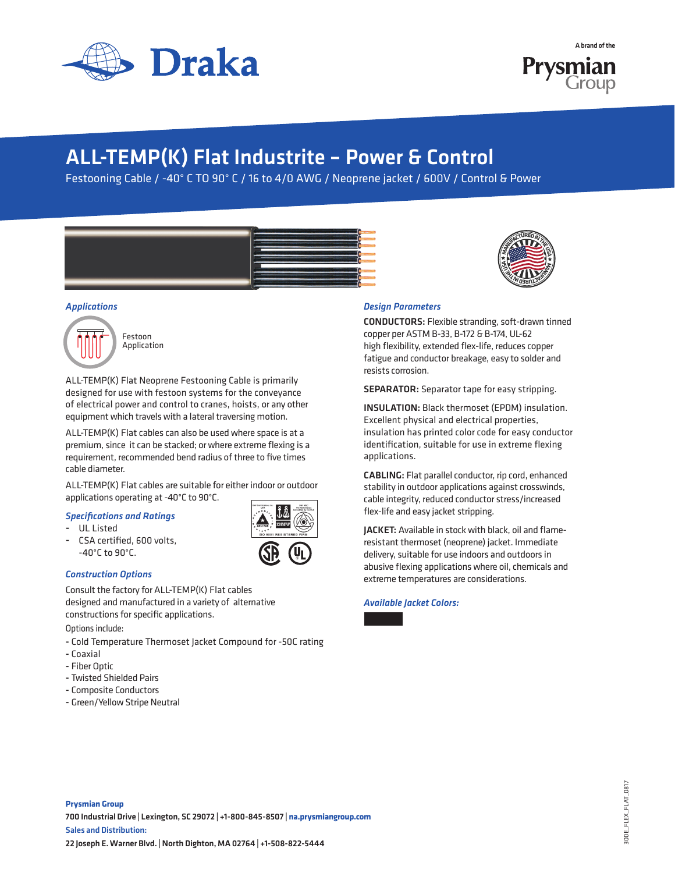





**M**<br>D<sub>*A*</sub>F<br>D<sub>*A*</sub> *MER* 

**<sup>H</sup><sup>T</sup> <sup>E</sup>US<sup>A</sup> <sup>M</sup>ANUFACTUREDINTHEUS<sup>A</sup>**

# ALL-TEMP(K) Flat Industrite – Power & Control

Festooning Cable / -40° C TO 90° C / 16 to 4/0 AWG / Neoprene jacket / 600V / Control & Power







ALL-TEMP(K) Flat Neoprene Festooning Cable is primarily designed for use with festoon systems for the conveyance of electrical power and control to cranes, hoists, or any other equipment which travels with a lateral traversing motion.

ALL-TEMP(K) Flat cables can also be used where space is at a premium, since it can be stacked; or where extreme flexing is a requirement, recommended bend radius of three to five times cable diameter.

ALL-TEMP(K) Flat cables are suitable for either indoor or outdoor applications operating at -40°C to 90°C.

### *Specifications and Ratings*

- UL Listed
- CSA certified, 600 volts, -40°C to 90°C.

## *Construction Options*

Consult the factory for ALL-TEMP(K) Flat cables designed and manufactured in a variety of alternative constructions for specific applications.

Options include:

- Cold Temperature Thermoset Jacket Compound for -50C rating
- Coaxial
- Fiber Optic
- Twisted Shielded Pairs
- Composite Conductors
- Green/Yellow Stripe Neutral



CONDUCTORS: Flexible stranding, soft-drawn tinned copper per ASTM B-33, B-172 & B-174, UL-62 high flexibility, extended flex-life, reduces copper fatigue and conductor breakage, easy to solder and resists corrosion.

SEPARATOR: Separator tape for easy stripping.

INSULATION: Black thermoset (EPDM) insulation. Excellent physical and electrical properties, insulation has printed color code for easy conductor identification, suitable for use in extreme flexing applications.

CABLING: Flat parallel conductor, rip cord, enhanced stability in outdoor applications against crosswinds, cable integrity, reduced conductor stress/increased flex-life and easy jacket stripping.

JACKET: Available in stock with black, oil and flameresistant thermoset (neoprene) jacket. Immediate delivery, suitable for use indoors and outdoors in abusive flexing applications where oil, chemicals and extreme temperatures are considerations.

*Available Jacket Colors:*